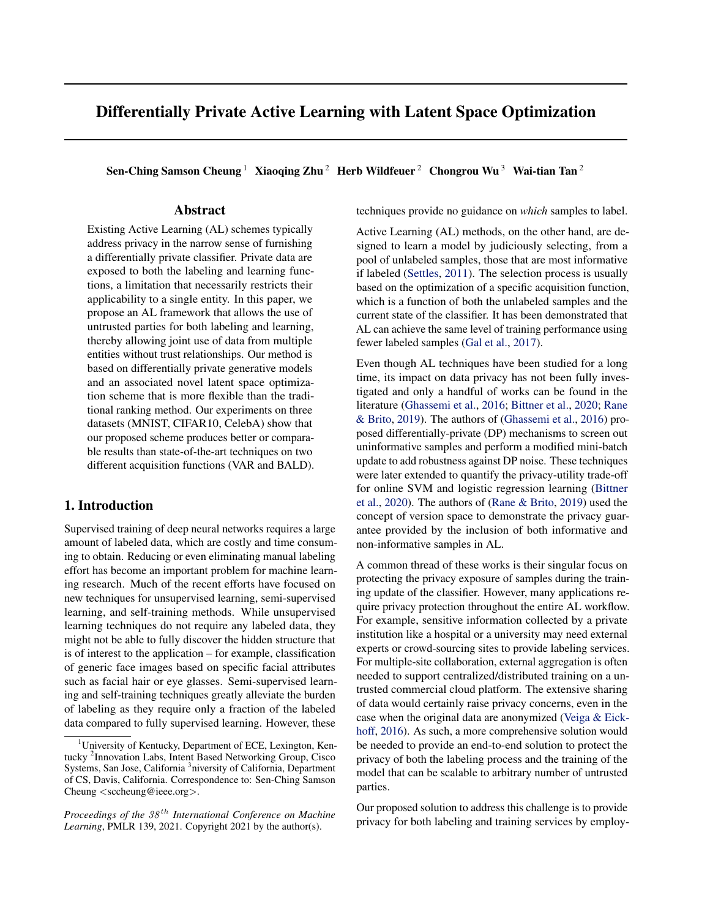# Differentially Private Active Learning with Latent Space Optimization

Sen-Ching Samson Cheung<sup>1</sup> Xiaoqing Zhu<sup>2</sup> Herb Wildfeuer<sup>2</sup> Chongrou Wu<sup>3</sup> Wai-tian Tan<sup>2</sup>

# Abstract

Existing Active Learning (AL) schemes typically address privacy in the narrow sense of furnishing a differentially private classifier. Private data are exposed to both the labeling and learning functions, a limitation that necessarily restricts their applicability to a single entity. In this paper, we propose an AL framework that allows the use of untrusted parties for both labeling and learning, thereby allowing joint use of data from multiple entities without trust relationships. Our method is based on differentially private generative models and an associated novel latent space optimization scheme that is more flexible than the traditional ranking method. Our experiments on three datasets (MNIST, CIFAR10, CelebA) show that our proposed scheme produces better or comparable results than state-of-the-art techniques on two different acquisition functions (VAR and BALD).

# 1. Introduction

Supervised training of deep neural networks requires a large amount of labeled data, which are costly and time consuming to obtain. Reducing or even eliminating manual labeling effort has become an important problem for machine learning research. Much of the recent efforts have focused on new techniques for unsupervised learning, semi-supervised learning, and self-training methods. While unsupervised learning techniques do not require any labeled data, they might not be able to fully discover the hidden structure that is of interest to the application – for example, classification of generic face images based on specific facial attributes such as facial hair or eye glasses. Semi-supervised learning and self-training techniques greatly alleviate the burden of labeling as they require only a fraction of the labeled data compared to fully supervised learning. However, these

techniques provide no guidance on *which* samples to label.

Active Learning (AL) methods, on the other hand, are designed to learn a model by judiciously selecting, from a pool of unlabeled samples, those that are most informative if labeled [\(Settles,](#page-6-0) [2011\)](#page-6-0). The selection process is usually based on the optimization of a specific acquisition function, which is a function of both the unlabeled samples and the current state of the classifier. It has been demonstrated that AL can achieve the same level of training performance using fewer labeled samples [\(Gal et al.,](#page-6-0) [2017\)](#page-6-0).

Even though AL techniques have been studied for a long time, its impact on data privacy has not been fully investigated and only a handful of works can be found in the literature [\(Ghassemi et al.,](#page-6-0) [2016;](#page-6-0) [Bittner et al.,](#page-6-0) [2020;](#page-6-0) [Rane](#page-6-0) [& Brito,](#page-6-0) [2019\)](#page-6-0). The authors of [\(Ghassemi et al.,](#page-6-0) [2016\)](#page-6-0) proposed differentially-private (DP) mechanisms to screen out uninformative samples and perform a modified mini-batch update to add robustness against DP noise. These techniques were later extended to quantify the privacy-utility trade-off for online SVM and logistic regression learning [\(Bittner](#page-6-0) [et al.,](#page-6-0) [2020\)](#page-6-0). The authors of [\(Rane & Brito,](#page-6-0) [2019\)](#page-6-0) used the concept of version space to demonstrate the privacy guarantee provided by the inclusion of both informative and non-informative samples in AL.

A common thread of these works is their singular focus on protecting the privacy exposure of samples during the training update of the classifier. However, many applications require privacy protection throughout the entire AL workflow. For example, sensitive information collected by a private institution like a hospital or a university may need external experts or crowd-sourcing sites to provide labeling services. For multiple-site collaboration, external aggregation is often needed to support centralized/distributed training on a untrusted commercial cloud platform. The extensive sharing of data would certainly raise privacy concerns, even in the case when the original data are anonymized [\(Veiga & Eick](#page-7-0)[hoff,](#page-7-0) [2016\)](#page-7-0). As such, a more comprehensive solution would be needed to provide an end-to-end solution to protect the privacy of both the labeling process and the training of the model that can be scalable to arbitrary number of untrusted parties.

Our proposed solution to address this challenge is to provide privacy for both labeling and training services by employ-

<sup>&</sup>lt;sup>1</sup>University of Kentucky, Department of ECE, Lexington, Kentucky <sup>2</sup> Innovation Labs, Intent Based Networking Group, Cisco Systems, San Jose, California<sup>3</sup>niversity of California, Department of CS, Davis, California. Correspondence to: Sen-Ching Samson Cheung <sccheung@ieee.org>.

*Proceedings of the*  $38<sup>th</sup>$  *International Conference on Machine Learning*, PMLR 139, 2021. Copyright 2021 by the author(s).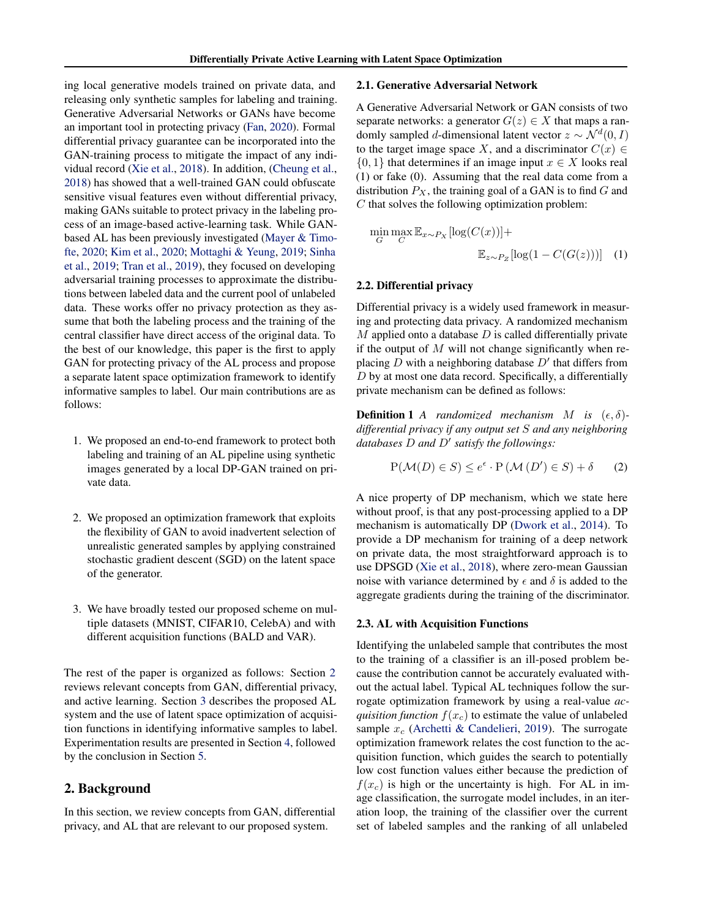<span id="page-1-0"></span>ing local generative models trained on private data, and releasing only synthetic samples for labeling and training. Generative Adversarial Networks or GANs have become an important tool in protecting privacy [\(Fan,](#page-6-0) [2020\)](#page-6-0). Formal differential privacy guarantee can be incorporated into the GAN-training process to mitigate the impact of any individual record [\(Xie et al.,](#page-7-0) [2018\)](#page-7-0). In addition, [\(Cheung et al.,](#page-6-0) [2018\)](#page-6-0) has showed that a well-trained GAN could obfuscate sensitive visual features even without differential privacy, making GANs suitable to protect privacy in the labeling process of an image-based active-learning task. While GANbased AL has been previously investigated [\(Mayer & Timo](#page-6-0)[fte,](#page-6-0) [2020;](#page-6-0) [Kim et al.,](#page-6-0) [2020;](#page-6-0) [Mottaghi & Yeung,](#page-6-0) [2019;](#page-6-0) [Sinha](#page-6-0) [et al.,](#page-6-0) [2019;](#page-6-0) [Tran et al.,](#page-6-0) [2019\)](#page-6-0), they focused on developing adversarial training processes to approximate the distributions between labeled data and the current pool of unlabeled data. These works offer no privacy protection as they assume that both the labeling process and the training of the central classifier have direct access of the original data. To the best of our knowledge, this paper is the first to apply GAN for protecting privacy of the AL process and propose a separate latent space optimization framework to identify informative samples to label. Our main contributions are as follows:

- 1. We proposed an end-to-end framework to protect both labeling and training of an AL pipeline using synthetic images generated by a local DP-GAN trained on private data.
- 2. We proposed an optimization framework that exploits the flexibility of GAN to avoid inadvertent selection of unrealistic generated samples by applying constrained stochastic gradient descent (SGD) on the latent space of the generator.
- 3. We have broadly tested our proposed scheme on multiple datasets (MNIST, CIFAR10, CelebA) and with different acquisition functions (BALD and VAR).

The rest of the paper is organized as follows: Section 2 reviews relevant concepts from GAN, differential privacy, and active learning. Section [3](#page-2-0) describes the proposed AL system and the use of latent space optimization of acquisition functions in identifying informative samples to label. Experimentation results are presented in Section [4,](#page-4-0) followed by the conclusion in Section [5.](#page-5-0)

# 2. Background

In this section, we review concepts from GAN, differential privacy, and AL that are relevant to our proposed system.

## 2.1. Generative Adversarial Network

A Generative Adversarial Network or GAN consists of two separate networks: a generator  $G(z) \in X$  that maps a randomly sampled *d*-dimensional latent vector  $z \sim \mathcal{N}^d(0, I)$ to the target image space X, and a discriminator  $C(x) \in$  $\{0, 1\}$  that determines if an image input  $x \in X$  looks real (1) or fake (0). Assuming that the real data come from a distribution  $P_X$ , the training goal of a GAN is to find  $G$  and  $C$  that solves the following optimization problem:

$$
\min_{G} \max_{C} \mathbb{E}_{x \sim P_X} [\log(C(x))] +
$$
  

$$
\mathbb{E}_{z \sim P_Z} [\log(1 - C(G(z)))] \quad (1)
$$

### 2.2. Differential privacy

Differential privacy is a widely used framework in measuring and protecting data privacy. A randomized mechanism  $M$  applied onto a database  $D$  is called differentially private if the output of  $M$  will not change significantly when replacing  $D$  with a neighboring database  $D'$  that differs from  $D$  by at most one data record. Specifically, a differentially private mechanism can be defined as follows:

**Definition 1** *A* randomized mechanism *M* is  $(\epsilon, \delta)$ *differential privacy if any output set* S *and any neighboring* databases D and D' satisfy the followings:

$$
P(\mathcal{M}(D) \in S) \le e^{\epsilon} \cdot P(\mathcal{M}(D') \in S) + \delta \qquad (2)
$$

A nice property of DP mechanism, which we state here without proof, is that any post-processing applied to a DP mechanism is automatically DP [\(Dwork et al.,](#page-6-0) [2014\)](#page-6-0). To provide a DP mechanism for training of a deep network on private data, the most straightforward approach is to use DPSGD [\(Xie et al.,](#page-7-0) [2018\)](#page-7-0), where zero-mean Gaussian noise with variance determined by  $\epsilon$  and  $\delta$  is added to the aggregate gradients during the training of the discriminator.

## 2.3. AL with Acquisition Functions

Identifying the unlabeled sample that contributes the most to the training of a classifier is an ill-posed problem because the contribution cannot be accurately evaluated without the actual label. Typical AL techniques follow the surrogate optimization framework by using a real-value *acquisition function*  $f(x_c)$  to estimate the value of unlabeled sample  $x_c$  [\(Archetti & Candelieri,](#page-6-0) [2019\)](#page-6-0). The surrogate optimization framework relates the cost function to the acquisition function, which guides the search to potentially low cost function values either because the prediction of  $f(x_c)$  is high or the uncertainty is high. For AL in image classification, the surrogate model includes, in an iteration loop, the training of the classifier over the current set of labeled samples and the ranking of all unlabeled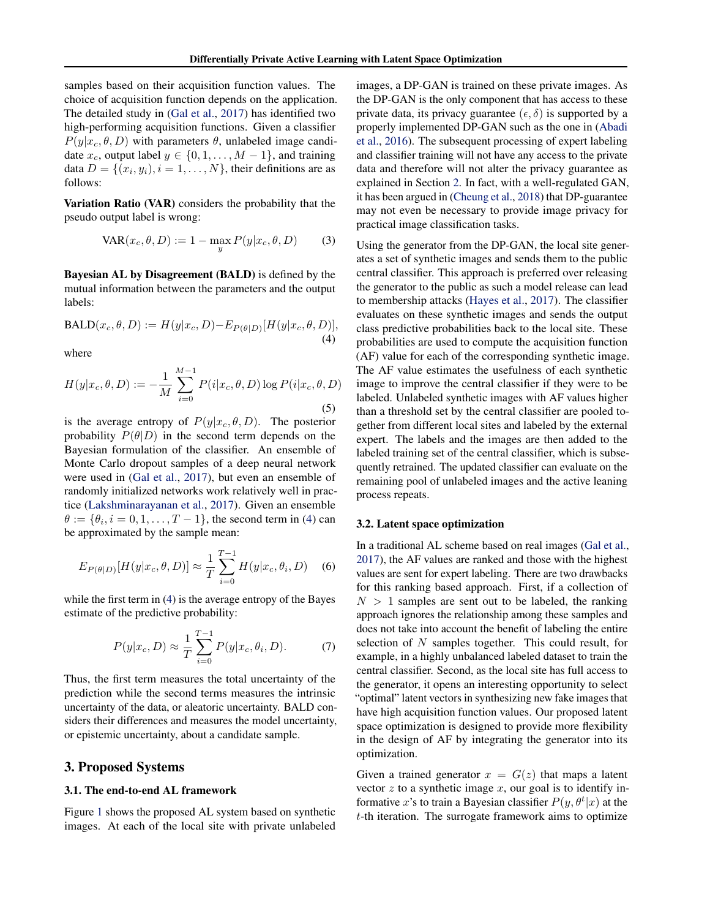<span id="page-2-0"></span>samples based on their acquisition function values. The choice of acquisition function depends on the application. The detailed study in [\(Gal et al.,](#page-6-0) [2017\)](#page-6-0) has identified two high-performing acquisition functions. Given a classifier  $P(y|x_c, \theta, D)$  with parameters  $\theta$ , unlabeled image candidate  $x_c$ , output label  $y \in \{0, 1, \ldots, M-1\}$ , and training data  $D = \{(x_i, y_i), i = 1, \dots, N\}$ , their definitions are as follows:

Variation Ratio (VAR) considers the probability that the pseudo output label is wrong:

$$
VAR(x_c, \theta, D) := 1 - \max_{y} P(y|x_c, \theta, D)
$$
 (3)

Bayesian AL by Disagreement (BALD) is defined by the mutual information between the parameters and the output labels:

$$
BALD(x_c, \theta, D) := H(y|x_c, D) - E_{P(\theta|D)}[H(y|x_c, \theta, D)],
$$
\n(4)

where

$$
H(y|x_c, \theta, D) := -\frac{1}{M} \sum_{i=0}^{M-1} P(i|x_c, \theta, D) \log P(i|x_c, \theta, D)
$$
\n(5)

is the average entropy of  $P(y|x_c, \theta, D)$ . The posterior probability  $P(\theta|D)$  in the second term depends on the Bayesian formulation of the classifier. An ensemble of Monte Carlo dropout samples of a deep neural network were used in [\(Gal et al.,](#page-6-0) [2017\)](#page-6-0), but even an ensemble of randomly initialized networks work relatively well in practice [\(Lakshminarayanan et al.,](#page-6-0) [2017\)](#page-6-0). Given an ensemble  $\theta := \{\theta_i, i = 0, 1, \dots, T - 1\}$ , the second term in (4) can be approximated by the sample mean:

$$
E_{P(\theta|D)}[H(y|x_c, \theta, D)] \approx \frac{1}{T} \sum_{i=0}^{T-1} H(y|x_c, \theta_i, D) \quad (6)
$$

while the first term in (4) is the average entropy of the Bayes estimate of the predictive probability:

$$
P(y|x_c, D) \approx \frac{1}{T} \sum_{i=0}^{T-1} P(y|x_c, \theta_i, D). \tag{7}
$$

Thus, the first term measures the total uncertainty of the prediction while the second terms measures the intrinsic uncertainty of the data, or aleatoric uncertainty. BALD considers their differences and measures the model uncertainty, or epistemic uncertainty, about a candidate sample.

# 3. Proposed Systems

### 3.1. The end-to-end AL framework

Figure [1](#page-3-0) shows the proposed AL system based on synthetic images. At each of the local site with private unlabeled

images, a DP-GAN is trained on these private images. As the DP-GAN is the only component that has access to these private data, its privacy guarantee  $(\epsilon, \delta)$  is supported by a properly implemented DP-GAN such as the one in [\(Abadi](#page-5-0) [et al.,](#page-5-0) [2016\)](#page-5-0). The subsequent processing of expert labeling and classifier training will not have any access to the private data and therefore will not alter the privacy guarantee as explained in Section [2.](#page-1-0) In fact, with a well-regulated GAN, it has been argued in [\(Cheung et al.,](#page-6-0) [2018\)](#page-6-0) that DP-guarantee may not even be necessary to provide image privacy for practical image classification tasks.

Using the generator from the DP-GAN, the local site generates a set of synthetic images and sends them to the public central classifier. This approach is preferred over releasing the generator to the public as such a model release can lead to membership attacks [\(Hayes et al.,](#page-6-0) [2017\)](#page-6-0). The classifier evaluates on these synthetic images and sends the output class predictive probabilities back to the local site. These probabilities are used to compute the acquisition function (AF) value for each of the corresponding synthetic image. The AF value estimates the usefulness of each synthetic image to improve the central classifier if they were to be labeled. Unlabeled synthetic images with AF values higher than a threshold set by the central classifier are pooled together from different local sites and labeled by the external expert. The labels and the images are then added to the labeled training set of the central classifier, which is subsequently retrained. The updated classifier can evaluate on the remaining pool of unlabeled images and the active leaning process repeats.

## 3.2. Latent space optimization

In a traditional AL scheme based on real images [\(Gal et al.,](#page-6-0) [2017\)](#page-6-0), the AF values are ranked and those with the highest values are sent for expert labeling. There are two drawbacks for this ranking based approach. First, if a collection of  $N > 1$  samples are sent out to be labeled, the ranking approach ignores the relationship among these samples and does not take into account the benefit of labeling the entire selection of  $N$  samples together. This could result, for example, in a highly unbalanced labeled dataset to train the central classifier. Second, as the local site has full access to the generator, it opens an interesting opportunity to select "optimal" latent vectors in synthesizing new fake images that have high acquisition function values. Our proposed latent space optimization is designed to provide more flexibility in the design of AF by integrating the generator into its optimization.

Given a trained generator  $x = G(z)$  that maps a latent vector  $z$  to a synthetic image  $x$ , our goal is to identify informative x's to train a Bayesian classifier  $P(y, \theta^t | x)$  at the t-th iteration. The surrogate framework aims to optimize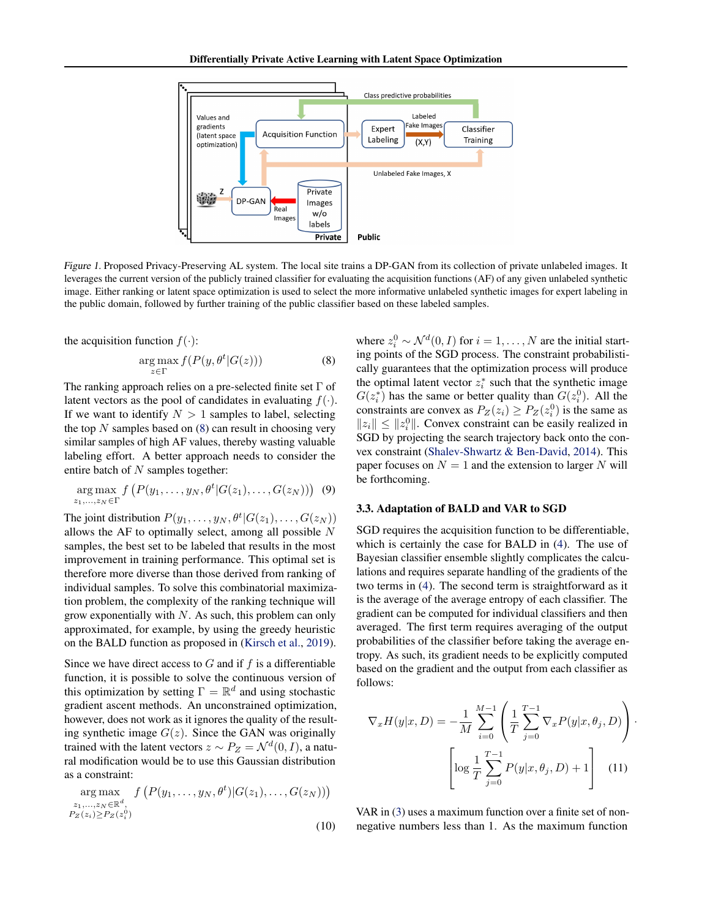<span id="page-3-0"></span>

Figure 1. Proposed Privacy-Preserving AL system. The local site trains a DP-GAN from its collection of private unlabeled images. It leverages the current version of the publicly trained classifier for evaluating the acquisition functions (AF) of any given unlabeled synthetic image. Either ranking or latent space optimization is used to select the more informative unlabeled synthetic images for expert labeling in the public domain, followed by further training of the public classifier based on these labeled samples.

the acquisition function  $f(\cdot)$ :

$$
\underset{z \in \Gamma}{\arg \max} f(P(y, \theta^t | G(z))) \tag{8}
$$

The ranking approach relies on a pre-selected finite set  $\Gamma$  of latent vectors as the pool of candidates in evaluating  $f(\cdot)$ . If we want to identify  $N > 1$  samples to label, selecting the top  $N$  samples based on  $(8)$  can result in choosing very similar samples of high AF values, thereby wasting valuable labeling effort. A better approach needs to consider the entire batch of  $N$  samples together:

$$
\underset{z_1,\ldots,z_N\in\Gamma}{\arg\max} f\left(P(y_1,\ldots,y_N,\theta^t|G(z_1),\ldots,G(z_N))\right) \tag{9}
$$

The joint distribution  $P(y_1, \ldots, y_N, \theta^t | G(z_1), \ldots, G(z_N))$ allows the AF to optimally select, among all possible  $N$ samples, the best set to be labeled that results in the most improvement in training performance. This optimal set is therefore more diverse than those derived from ranking of individual samples. To solve this combinatorial maximization problem, the complexity of the ranking technique will grow exponentially with  $N$ . As such, this problem can only approximated, for example, by using the greedy heuristic on the BALD function as proposed in [\(Kirsch et al.,](#page-6-0) [2019\)](#page-6-0).

Since we have direct access to  $G$  and if  $f$  is a differentiable function, it is possible to solve the continuous version of this optimization by setting  $\Gamma = \mathbb{R}^d$  and using stochastic gradient ascent methods. An unconstrained optimization, however, does not work as it ignores the quality of the resulting synthetic image  $G(z)$ . Since the GAN was originally trained with the latent vectors  $z \sim P_Z = \mathcal{N}^d(0, I)$ , a natural modification would be to use this Gaussian distribution as a constraint:

$$
\underset{\substack{z_1,\ldots,z_N\in\mathbb{R}^d,\\P_Z(z_i)\ge P_Z(z_i^0)}}{\arg\max} f\left(P(y_1,\ldots,y_N,\theta^t)|G(z_1),\ldots,G(z_N))\right)
$$
\n(10)

where  $z_i^0 \sim \mathcal{N}^d(0, I)$  for  $i = 1, \dots, N$  are the initial starting points of the SGD process. The constraint probabilistically guarantees that the optimization process will produce the optimal latent vector  $z_i^*$  such that the synthetic image  $G(z_i^*)$  has the same or better quality than  $G(z_i^0)$ . All the constraints are convex as  $P_Z(z_i) \ge P_Z(z_i^0)$  is the same as  $||z_i|| \le ||z_i^0||$ . Convex constraint can be easily realized in SGD by projecting the search trajectory back onto the convex constraint [\(Shalev-Shwartz & Ben-David,](#page-6-0) [2014\)](#page-6-0). This paper focuses on  $N = 1$  and the extension to larger N will be forthcoming.

#### 3.3. Adaptation of BALD and VAR to SGD

SGD requires the acquisition function to be differentiable, which is certainly the case for BALD in [\(4\)](#page-2-0). The use of Bayesian classifier ensemble slightly complicates the calculations and requires separate handling of the gradients of the two terms in [\(4\)](#page-2-0). The second term is straightforward as it is the average of the average entropy of each classifier. The gradient can be computed for individual classifiers and then averaged. The first term requires averaging of the output probabilities of the classifier before taking the average entropy. As such, its gradient needs to be explicitly computed based on the gradient and the output from each classifier as follows:

$$
\nabla_x H(y|x, D) = -\frac{1}{M} \sum_{i=0}^{M-1} \left( \frac{1}{T} \sum_{j=0}^{T-1} \nabla_x P(y|x, \theta_j, D) \right) \cdot \left[ \log \frac{1}{T} \sum_{j=0}^{T-1} P(y|x, \theta_j, D) + 1 \right] \tag{11}
$$

VAR in [\(3\)](#page-2-0) uses a maximum function over a finite set of nonnegative numbers less than 1. As the maximum function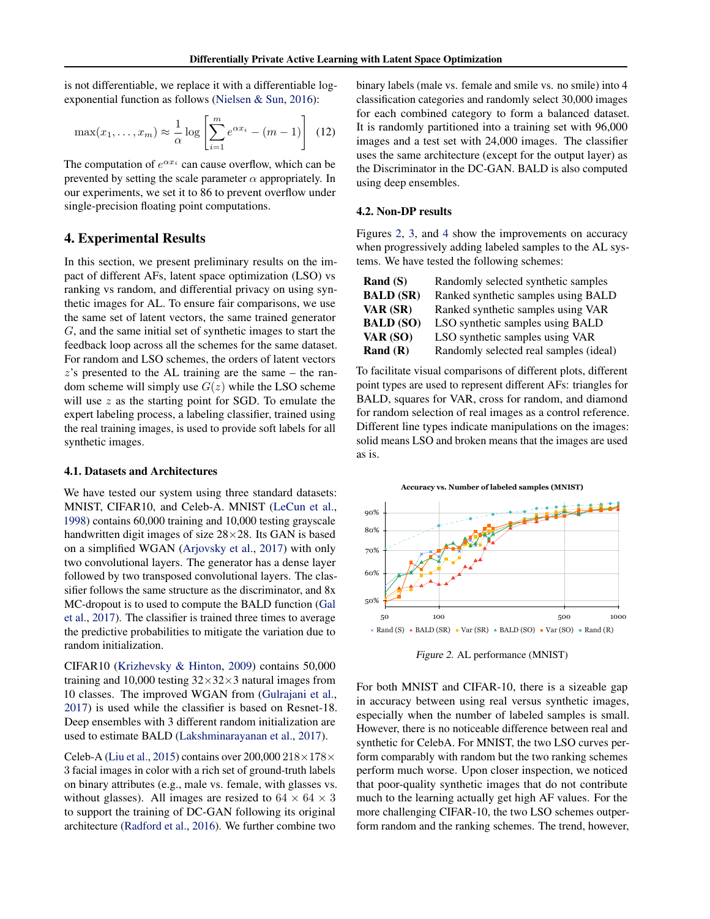<span id="page-4-0"></span>is not differentiable, we replace it with a differentiable logexponential function as follows [\(Nielsen & Sun,](#page-6-0) [2016\)](#page-6-0):

$$
\max(x_1, \dots, x_m) \approx \frac{1}{\alpha} \log \left[ \sum_{i=1}^m e^{\alpha x_i} - (m-1) \right] \tag{12}
$$

The computation of  $e^{\alpha x_i}$  can cause overflow, which can be prevented by setting the scale parameter  $\alpha$  appropriately. In our experiments, we set it to 86 to prevent overflow under single-precision floating point computations.

# 4. Experimental Results

In this section, we present preliminary results on the impact of different AFs, latent space optimization (LSO) vs ranking vs random, and differential privacy on using synthetic images for AL. To ensure fair comparisons, we use the same set of latent vectors, the same trained generator G, and the same initial set of synthetic images to start the feedback loop across all the schemes for the same dataset. For random and LSO schemes, the orders of latent vectors  $z$ 's presented to the AL training are the same – the random scheme will simply use  $G(z)$  while the LSO scheme will use  $z$  as the starting point for SGD. To emulate the expert labeling process, a labeling classifier, trained using the real training images, is used to provide soft labels for all synthetic images.

#### 4.1. Datasets and Architectures

We have tested our system using three standard datasets: MNIST, CIFAR10, and Celeb-A. MNIST [\(LeCun et al.,](#page-6-0) [1998\)](#page-6-0) contains 60,000 training and 10,000 testing grayscale handwritten digit images of size 28×28. Its GAN is based on a simplified WGAN [\(Arjovsky et al.,](#page-6-0) [2017\)](#page-6-0) with only two convolutional layers. The generator has a dense layer followed by two transposed convolutional layers. The classifier follows the same structure as the discriminator, and 8x MC-dropout is to used to compute the BALD function [\(Gal](#page-6-0) [et al.,](#page-6-0) [2017\)](#page-6-0). The classifier is trained three times to average the predictive probabilities to mitigate the variation due to random initialization.

CIFAR10 [\(Krizhevsky & Hinton,](#page-6-0) [2009\)](#page-6-0) contains 50,000 training and 10,000 testing  $32\times32\times3$  natural images from 10 classes. The improved WGAN from [\(Gulrajani et al.,](#page-6-0) [2017\)](#page-6-0) is used while the classifier is based on Resnet-18. Deep ensembles with 3 different random initialization are used to estimate BALD [\(Lakshminarayanan et al.,](#page-6-0) [2017\)](#page-6-0).

Celeb-A [\(Liu et al.,](#page-6-0) [2015\)](#page-6-0) contains over 200,000  $218\times178\times$ 3 facial images in color with a rich set of ground-truth labels on binary attributes (e.g., male vs. female, with glasses vs. without glasses). All images are resized to  $64 \times 64 \times 3$ to support the training of DC-GAN following its original architecture [\(Radford et al.,](#page-6-0) [2016\)](#page-6-0). We further combine two

binary labels (male vs. female and smile vs. no smile) into 4 classification categories and randomly select 30,000 images for each combined category to form a balanced dataset. It is randomly partitioned into a training set with 96,000 images and a test set with 24,000 images. The classifier uses the same architecture (except for the output layer) as the Discriminator in the DC-GAN. BALD is also computed using deep ensembles.

#### 4.2. Non-DP results

Figures 2, [3,](#page-5-0) and [4](#page-5-0) show the improvements on accuracy when progressively adding labeled samples to the AL systems. We have tested the following schemes:

| Rand $(S)$       | Randomly selected synthetic samples    |
|------------------|----------------------------------------|
| <b>BALD (SR)</b> | Ranked synthetic samples using BALD    |
| VAR (SR)         | Ranked synthetic samples using VAR     |
| <b>BALD (SO)</b> | LSO synthetic samples using BALD       |
| VAR (SO)         | LSO synthetic samples using VAR        |
| Rand $(R)$       | Randomly selected real samples (ideal) |

To facilitate visual comparisons of different plots, different point types are used to represent different AFs: triangles for BALD, squares for VAR, cross for random, and diamond for random selection of real images as a control reference. Different line types indicate manipulations on the images: solid means LSO and broken means that the images are used as is.



Figure 2. AL performance (MNIST)

For both MNIST and CIFAR-10, there is a sizeable gap in accuracy between using real versus synthetic images, especially when the number of labeled samples is small. However, there is no noticeable difference between real and synthetic for CelebA. For MNIST, the two LSO curves perform comparably with random but the two ranking schemes perform much worse. Upon closer inspection, we noticed that poor-quality synthetic images that do not contribute much to the learning actually get high AF values. For the more challenging CIFAR-10, the two LSO schemes outperform random and the ranking schemes. The trend, however,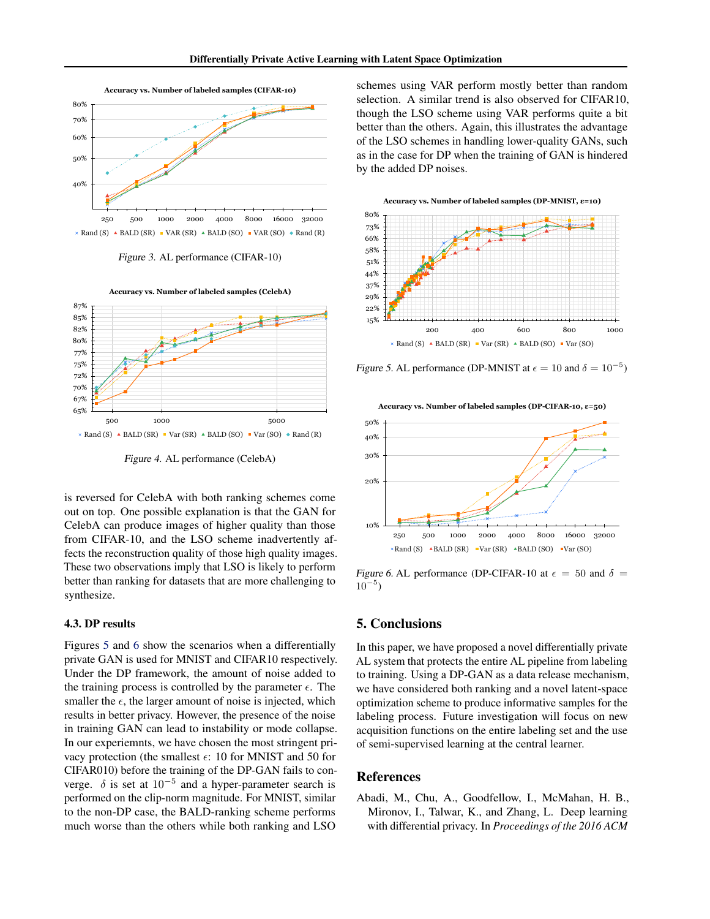<span id="page-5-0"></span>

Figure 3. AL performance (CIFAR-10)



Figure 4. AL performance (CelebA)

is reversed for CelebA with both ranking schemes come out on top. One possible explanation is that the GAN for CelebA can produce images of higher quality than those from CIFAR-10, and the LSO scheme inadvertently affects the reconstruction quality of those high quality images. These two observations imply that LSO is likely to perform better than ranking for datasets that are more challenging to synthesize.

#### 4.3. DP results

Figures 5 and 6 show the scenarios when a differentially private GAN is used for MNIST and CIFAR10 respectively. Under the DP framework, the amount of noise added to the training process is controlled by the parameter  $\epsilon$ . The smaller the  $\epsilon$ , the larger amount of noise is injected, which results in better privacy. However, the presence of the noise in training GAN can lead to instability or mode collapse. In our experiemnts, we have chosen the most stringent privacy protection (the smallest  $\epsilon$ : 10 for MNIST and 50 for CIFAR010) before the training of the DP-GAN fails to converge.  $\delta$  is set at 10<sup>-5</sup> and a hyper-parameter search is performed on the clip-norm magnitude. For MNIST, similar to the non-DP case, the BALD-ranking scheme performs much worse than the others while both ranking and LSO

schemes using VAR perform mostly better than random selection. A similar trend is also observed for CIFAR10, though the LSO scheme using VAR performs quite a bit better than the others. Again, this illustrates the advantage of the LSO schemes in handling lower-quality GANs, such as in the case for DP when the training of GAN is hindered by the added DP noises.





Figure 5. AL performance (DP-MNIST at  $\epsilon = 10$  and  $\delta = 10^{-5}$ )



Figure 6. AL performance (DP-CIFAR-10 at  $\epsilon = 50$  and  $\delta =$  $10^{-5}$ 

# 5. Conclusions

In this paper, we have proposed a novel differentially private AL system that protects the entire AL pipeline from labeling to training. Using a DP-GAN as a data release mechanism, we have considered both ranking and a novel latent-space optimization scheme to produce informative samples for the labeling process. Future investigation will focus on new acquisition functions on the entire labeling set and the use of semi-supervised learning at the central learner.

### References

Abadi, M., Chu, A., Goodfellow, I., McMahan, H. B., Mironov, I., Talwar, K., and Zhang, L. Deep learning with differential privacy. In *Proceedings of the 2016 ACM*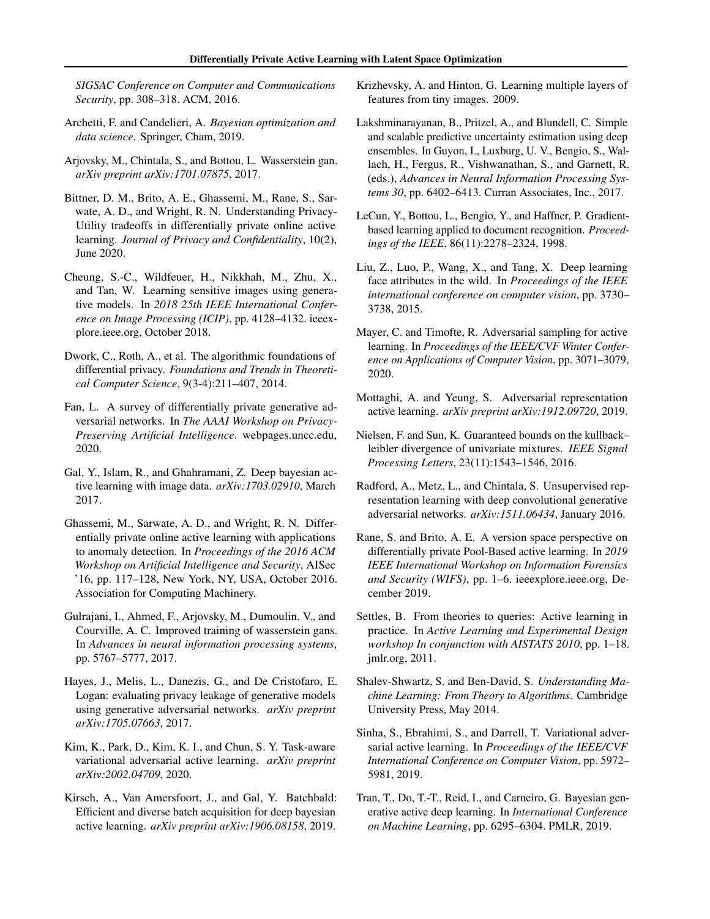<span id="page-6-0"></span>*SIGSAC Conference on Computer and Communications Security*, pp. 308–318. ACM, 2016.

- Archetti, F. and Candelieri, A. *Bayesian optimization and data science*. Springer, Cham, 2019.
- Arjovsky, M., Chintala, S., and Bottou, L. Wasserstein gan. *arXiv preprint arXiv:1701.07875*, 2017.
- Bittner, D. M., Brito, A. E., Ghassemi, M., Rane, S., Sarwate, A. D., and Wright, R. N. Understanding Privacy-Utility tradeoffs in differentially private online active learning. *Journal of Privacy and Confidentiality*, 10(2), June 2020.
- Cheung, S.-C., Wildfeuer, H., Nikkhah, M., Zhu, X., and Tan, W. Learning sensitive images using generative models. In *2018 25th IEEE International Conference on Image Processing (ICIP)*, pp. 4128–4132. ieeexplore.ieee.org, October 2018.
- Dwork, C., Roth, A., et al. The algorithmic foundations of differential privacy. *Foundations and Trends in Theoretical Computer Science*, 9(3-4):211–407, 2014.
- Fan, L. A survey of differentially private generative adversarial networks. In *The AAAI Workshop on Privacy-Preserving Artificial Intelligence*. webpages.uncc.edu, 2020.
- Gal, Y., Islam, R., and Ghahramani, Z. Deep bayesian active learning with image data. *arXiv:1703.02910*, March 2017.
- Ghassemi, M., Sarwate, A. D., and Wright, R. N. Differentially private online active learning with applications to anomaly detection. In *Proceedings of the 2016 ACM Workshop on Artificial Intelligence and Security*, AISec '16, pp. 117–128, New York, NY, USA, October 2016. Association for Computing Machinery.
- Gulrajani, I., Ahmed, F., Arjovsky, M., Dumoulin, V., and Courville, A. C. Improved training of wasserstein gans. In *Advances in neural information processing systems*, pp. 5767–5777, 2017.
- Hayes, J., Melis, L., Danezis, G., and De Cristofaro, E. Logan: evaluating privacy leakage of generative models using generative adversarial networks. *arXiv preprint arXiv:1705.07663*, 2017.
- Kim, K., Park, D., Kim, K. I., and Chun, S. Y. Task-aware variational adversarial active learning. *arXiv preprint arXiv:2002.04709*, 2020.
- Kirsch, A., Van Amersfoort, J., and Gal, Y. Batchbald: Efficient and diverse batch acquisition for deep bayesian active learning. *arXiv preprint arXiv:1906.08158*, 2019.
- Krizhevsky, A. and Hinton, G. Learning multiple layers of features from tiny images. 2009.
- Lakshminarayanan, B., Pritzel, A., and Blundell, C. Simple and scalable predictive uncertainty estimation using deep ensembles. In Guyon, I., Luxburg, U. V., Bengio, S., Wallach, H., Fergus, R., Vishwanathan, S., and Garnett, R. (eds.), *Advances in Neural Information Processing Systems 30*, pp. 6402–6413. Curran Associates, Inc., 2017.
- LeCun, Y., Bottou, L., Bengio, Y., and Haffner, P. Gradientbased learning applied to document recognition. *Proceedings of the IEEE*, 86(11):2278–2324, 1998.
- Liu, Z., Luo, P., Wang, X., and Tang, X. Deep learning face attributes in the wild. In *Proceedings of the IEEE international conference on computer vision*, pp. 3730– 3738, 2015.
- Mayer, C. and Timofte, R. Adversarial sampling for active learning. In *Proceedings of the IEEE/CVF Winter Conference on Applications of Computer Vision*, pp. 3071–3079, 2020.
- Mottaghi, A. and Yeung, S. Adversarial representation active learning. *arXiv preprint arXiv:1912.09720*, 2019.
- Nielsen, F. and Sun, K. Guaranteed bounds on the kullback– leibler divergence of univariate mixtures. *IEEE Signal Processing Letters*, 23(11):1543–1546, 2016.
- Radford, A., Metz, L., and Chintala, S. Unsupervised representation learning with deep convolutional generative adversarial networks. *arXiv:1511.06434*, January 2016.
- Rane, S. and Brito, A. E. A version space perspective on differentially private Pool-Based active learning. In *2019 IEEE International Workshop on Information Forensics and Security (WIFS)*, pp. 1–6. ieeexplore.ieee.org, December 2019.
- Settles, B. From theories to queries: Active learning in practice. In *Active Learning and Experimental Design workshop In conjunction with AISTATS 2010*, pp. 1–18. jmlr.org, 2011.
- Shalev-Shwartz, S. and Ben-David, S. *Understanding Machine Learning: From Theory to Algorithms*. Cambridge University Press, May 2014.
- Sinha, S., Ebrahimi, S., and Darrell, T. Variational adversarial active learning. In *Proceedings of the IEEE/CVF International Conference on Computer Vision*, pp. 5972– 5981, 2019.
- Tran, T., Do, T.-T., Reid, I., and Carneiro, G. Bayesian generative active deep learning. In *International Conference on Machine Learning*, pp. 6295–6304. PMLR, 2019.